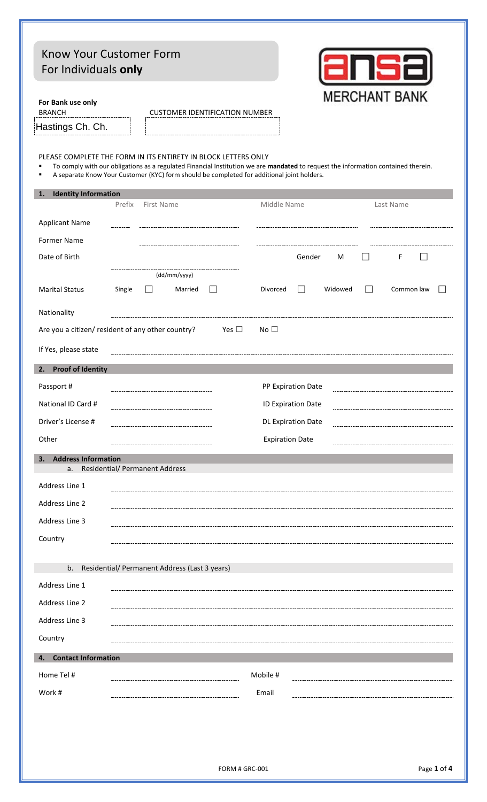| Know Your Customer Form                                                                                                                                                                                                                                                                                |                                       |            |                                               |                                       |                           |               |         |                      |  |
|--------------------------------------------------------------------------------------------------------------------------------------------------------------------------------------------------------------------------------------------------------------------------------------------------------|---------------------------------------|------------|-----------------------------------------------|---------------------------------------|---------------------------|---------------|---------|----------------------|--|
| For Individuals only                                                                                                                                                                                                                                                                                   |                                       |            |                                               |                                       |                           |               |         |                      |  |
| For Bank use only<br><b>BRANCH</b>                                                                                                                                                                                                                                                                     |                                       |            |                                               | <b>CUSTOMER IDENTIFICATION NUMBER</b> |                           |               |         | <b>MERCHANT BANK</b> |  |
| Hastings Ch. Ch.                                                                                                                                                                                                                                                                                       |                                       |            |                                               |                                       |                           |               |         |                      |  |
| PLEASE COMPLETE THE FORM IN ITS ENTIRETY IN BLOCK LETTERS ONLY<br>To comply with our obligations as a regulated Financial Institution we are mandated to request the information contained therein.<br>A separate Know Your Customer (KYC) form should be completed for additional joint holders.<br>٠ |                                       |            |                                               |                                       |                           |               |         |                      |  |
| <b>Identity Information</b><br>1.                                                                                                                                                                                                                                                                      | Prefix                                | First Name |                                               |                                       | Middle Name               |               |         | Last Name            |  |
| <b>Applicant Name</b>                                                                                                                                                                                                                                                                                  |                                       |            |                                               |                                       |                           |               |         |                      |  |
| <b>Former Name</b>                                                                                                                                                                                                                                                                                     |                                       |            |                                               |                                       |                           |               |         |                      |  |
| Date of Birth                                                                                                                                                                                                                                                                                          |                                       |            |                                               |                                       |                           | Gender        | M       | F                    |  |
|                                                                                                                                                                                                                                                                                                        |                                       |            | (dd/mm/yyyy)                                  |                                       |                           |               |         |                      |  |
| <b>Marital Status</b>                                                                                                                                                                                                                                                                                  | Single                                | H          | Married                                       |                                       | Divorced                  | $\mathcal{L}$ | Widowed | Common law           |  |
| Nationality                                                                                                                                                                                                                                                                                            |                                       |            |                                               |                                       |                           |               |         |                      |  |
| Are you a citizen/ resident of any other country?                                                                                                                                                                                                                                                      |                                       |            |                                               | Yes $\Box$                            | No $\square$              |               |         |                      |  |
| If Yes, please state                                                                                                                                                                                                                                                                                   |                                       |            |                                               |                                       |                           |               |         |                      |  |
| <b>Proof of Identity</b><br>2.                                                                                                                                                                                                                                                                         |                                       |            |                                               |                                       |                           |               |         |                      |  |
| Passport#                                                                                                                                                                                                                                                                                              |                                       |            |                                               |                                       | PP Expiration Date        |               |         |                      |  |
| National ID Card #                                                                                                                                                                                                                                                                                     |                                       |            |                                               |                                       | ID Expiration Date        |               |         |                      |  |
| Driver's License #                                                                                                                                                                                                                                                                                     |                                       |            |                                               |                                       | <b>DL Expiration Date</b> |               |         |                      |  |
| Other                                                                                                                                                                                                                                                                                                  |                                       |            |                                               |                                       | <b>Expiration Date</b>    |               |         |                      |  |
| <b>Address Information</b><br>3.<br>a.                                                                                                                                                                                                                                                                 | <b>Residential/ Permanent Address</b> |            |                                               |                                       |                           |               |         |                      |  |
| Address Line 1                                                                                                                                                                                                                                                                                         |                                       |            |                                               |                                       |                           |               |         |                      |  |
| Address Line 2                                                                                                                                                                                                                                                                                         |                                       |            |                                               |                                       |                           |               |         |                      |  |
| Address Line 3                                                                                                                                                                                                                                                                                         |                                       |            |                                               |                                       |                           |               |         |                      |  |
| Country                                                                                                                                                                                                                                                                                                |                                       |            |                                               |                                       |                           |               |         |                      |  |
|                                                                                                                                                                                                                                                                                                        |                                       |            |                                               |                                       |                           |               |         |                      |  |
| b.                                                                                                                                                                                                                                                                                                     |                                       |            | Residential/ Permanent Address (Last 3 years) |                                       |                           |               |         |                      |  |
| Address Line 1                                                                                                                                                                                                                                                                                         |                                       |            |                                               |                                       |                           |               |         |                      |  |
| Address Line 2<br>Address Line 3                                                                                                                                                                                                                                                                       |                                       |            |                                               |                                       |                           |               |         |                      |  |
| Country                                                                                                                                                                                                                                                                                                |                                       |            |                                               |                                       |                           |               |         |                      |  |
| <b>Contact Information</b><br>4.                                                                                                                                                                                                                                                                       |                                       |            |                                               |                                       |                           |               |         |                      |  |
| Home Tel #                                                                                                                                                                                                                                                                                             |                                       |            |                                               |                                       | Mobile #                  |               |         |                      |  |
| Work #                                                                                                                                                                                                                                                                                                 |                                       |            |                                               |                                       | Email                     |               |         |                      |  |
|                                                                                                                                                                                                                                                                                                        |                                       |            |                                               |                                       |                           |               |         |                      |  |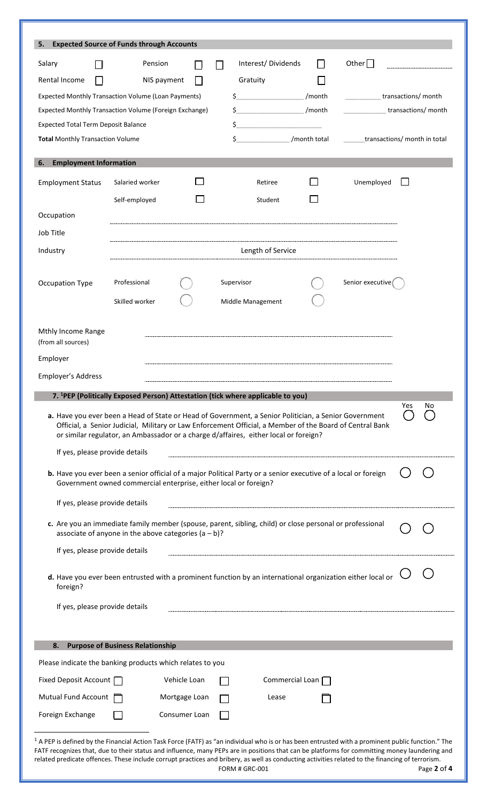| 5.                                                                                                                                                                                                                                                                                                                                                                                                                                                        | <b>Expected Source of Funds through Accounts</b>                                                                                                                                                                                                                                                          |               |                                                                                                                                                                                                                                                                                                                                  |                |                    |                              |
|-----------------------------------------------------------------------------------------------------------------------------------------------------------------------------------------------------------------------------------------------------------------------------------------------------------------------------------------------------------------------------------------------------------------------------------------------------------|-----------------------------------------------------------------------------------------------------------------------------------------------------------------------------------------------------------------------------------------------------------------------------------------------------------|---------------|----------------------------------------------------------------------------------------------------------------------------------------------------------------------------------------------------------------------------------------------------------------------------------------------------------------------------------|----------------|--------------------|------------------------------|
| Salary                                                                                                                                                                                                                                                                                                                                                                                                                                                    | Pension                                                                                                                                                                                                                                                                                                   | ΙI            | Interest/Dividends                                                                                                                                                                                                                                                                                                               | ΙI             | Other $\Box$       |                              |
| Rental Income                                                                                                                                                                                                                                                                                                                                                                                                                                             | NIS payment                                                                                                                                                                                                                                                                                               |               | Gratuity                                                                                                                                                                                                                                                                                                                         |                |                    |                              |
|                                                                                                                                                                                                                                                                                                                                                                                                                                                           | <b>Expected Monthly Transaction Volume (Loan Payments)</b>                                                                                                                                                                                                                                                |               | $\sharp$                                                                                                                                                                                                                                                                                                                         | /month         | transactions/month |                              |
|                                                                                                                                                                                                                                                                                                                                                                                                                                                           | Expected Monthly Transaction Volume (Foreign Exchange)                                                                                                                                                                                                                                                    |               | $\sinh$ /month                                                                                                                                                                                                                                                                                                                   |                |                    | transactions/ month          |
| <b>Expected Total Term Deposit Balance</b>                                                                                                                                                                                                                                                                                                                                                                                                                |                                                                                                                                                                                                                                                                                                           |               | $\sharp$ and $\sharp$ and $\sharp$ and $\sharp$ and $\sharp$ and $\sharp$ and $\sharp$ and $\sharp$ and $\sharp$ and $\sharp$ and $\sharp$ and $\sharp$ and $\sharp$ and $\sharp$ and $\sharp$ and $\sharp$ and $\sharp$ and $\sharp$ and $\sharp$ and $\sharp$ and $\sharp$ and $\sharp$ and $\sharp$ and $\sharp$ and $\sharp$ |                |                    |                              |
| <b>Total Monthly Transaction Volume</b>                                                                                                                                                                                                                                                                                                                                                                                                                   |                                                                                                                                                                                                                                                                                                           |               | $\zeta$                                                                                                                                                                                                                                                                                                                          | /month total   |                    | transactions/ month in total |
| <b>Employment Information</b><br>6.                                                                                                                                                                                                                                                                                                                                                                                                                       |                                                                                                                                                                                                                                                                                                           |               |                                                                                                                                                                                                                                                                                                                                  |                |                    |                              |
| <b>Employment Status</b>                                                                                                                                                                                                                                                                                                                                                                                                                                  | Salaried worker                                                                                                                                                                                                                                                                                           |               | Retiree                                                                                                                                                                                                                                                                                                                          | $\blacksquare$ | Unemployed         |                              |
|                                                                                                                                                                                                                                                                                                                                                                                                                                                           | Self-employed                                                                                                                                                                                                                                                                                             |               | Student                                                                                                                                                                                                                                                                                                                          |                |                    |                              |
| Occupation                                                                                                                                                                                                                                                                                                                                                                                                                                                |                                                                                                                                                                                                                                                                                                           |               |                                                                                                                                                                                                                                                                                                                                  |                |                    |                              |
| Job Title                                                                                                                                                                                                                                                                                                                                                                                                                                                 |                                                                                                                                                                                                                                                                                                           |               |                                                                                                                                                                                                                                                                                                                                  |                |                    |                              |
|                                                                                                                                                                                                                                                                                                                                                                                                                                                           |                                                                                                                                                                                                                                                                                                           |               |                                                                                                                                                                                                                                                                                                                                  |                |                    |                              |
| Industry                                                                                                                                                                                                                                                                                                                                                                                                                                                  |                                                                                                                                                                                                                                                                                                           |               | Length of Service                                                                                                                                                                                                                                                                                                                |                |                    |                              |
| Occupation Type                                                                                                                                                                                                                                                                                                                                                                                                                                           | Professional                                                                                                                                                                                                                                                                                              |               | Supervisor                                                                                                                                                                                                                                                                                                                       |                | Senior executive   |                              |
|                                                                                                                                                                                                                                                                                                                                                                                                                                                           | Skilled worker                                                                                                                                                                                                                                                                                            |               | Middle Management                                                                                                                                                                                                                                                                                                                |                |                    |                              |
|                                                                                                                                                                                                                                                                                                                                                                                                                                                           |                                                                                                                                                                                                                                                                                                           |               |                                                                                                                                                                                                                                                                                                                                  |                |                    |                              |
| Mthly Income Range<br>(from all sources)                                                                                                                                                                                                                                                                                                                                                                                                                  |                                                                                                                                                                                                                                                                                                           |               |                                                                                                                                                                                                                                                                                                                                  |                |                    |                              |
| Employer                                                                                                                                                                                                                                                                                                                                                                                                                                                  |                                                                                                                                                                                                                                                                                                           |               |                                                                                                                                                                                                                                                                                                                                  |                |                    |                              |
| <b>Employer's Address</b>                                                                                                                                                                                                                                                                                                                                                                                                                                 |                                                                                                                                                                                                                                                                                                           |               |                                                                                                                                                                                                                                                                                                                                  |                |                    |                              |
|                                                                                                                                                                                                                                                                                                                                                                                                                                                           | 7. <sup>1</sup> PEP (Politically Exposed Person) Attestation (tick where applicable to you)                                                                                                                                                                                                               |               |                                                                                                                                                                                                                                                                                                                                  |                |                    |                              |
|                                                                                                                                                                                                                                                                                                                                                                                                                                                           |                                                                                                                                                                                                                                                                                                           |               |                                                                                                                                                                                                                                                                                                                                  |                |                    | Yes<br>No                    |
|                                                                                                                                                                                                                                                                                                                                                                                                                                                           | a. Have you ever been a Head of State or Head of Government, a Senior Politician, a Senior Government<br>Official, a Senior Judicial, Military or Law Enforcement Official, a Member of the Board of Central Bank<br>or similar regulator, an Ambassador or a charge d/affaires, either local or foreign? |               |                                                                                                                                                                                                                                                                                                                                  |                |                    |                              |
| If yes, please provide details                                                                                                                                                                                                                                                                                                                                                                                                                            |                                                                                                                                                                                                                                                                                                           |               |                                                                                                                                                                                                                                                                                                                                  |                |                    |                              |
|                                                                                                                                                                                                                                                                                                                                                                                                                                                           | b. Have you ever been a senior official of a major Political Party or a senior executive of a local or foreign<br>Government owned commercial enterprise, either local or foreign?                                                                                                                        |               |                                                                                                                                                                                                                                                                                                                                  |                |                    |                              |
| If yes, please provide details                                                                                                                                                                                                                                                                                                                                                                                                                            |                                                                                                                                                                                                                                                                                                           |               |                                                                                                                                                                                                                                                                                                                                  |                |                    |                              |
|                                                                                                                                                                                                                                                                                                                                                                                                                                                           | c. Are you an immediate family member (spouse, parent, sibling, child) or close personal or professional<br>associate of anyone in the above categories $(a - b)$ ?                                                                                                                                       |               |                                                                                                                                                                                                                                                                                                                                  |                |                    |                              |
| If yes, please provide details                                                                                                                                                                                                                                                                                                                                                                                                                            |                                                                                                                                                                                                                                                                                                           |               |                                                                                                                                                                                                                                                                                                                                  |                |                    |                              |
| foreign?                                                                                                                                                                                                                                                                                                                                                                                                                                                  | d. Have you ever been entrusted with a prominent function by an international organization either local or                                                                                                                                                                                                |               |                                                                                                                                                                                                                                                                                                                                  |                |                    |                              |
| If yes, please provide details                                                                                                                                                                                                                                                                                                                                                                                                                            |                                                                                                                                                                                                                                                                                                           |               |                                                                                                                                                                                                                                                                                                                                  |                |                    |                              |
|                                                                                                                                                                                                                                                                                                                                                                                                                                                           |                                                                                                                                                                                                                                                                                                           |               |                                                                                                                                                                                                                                                                                                                                  |                |                    |                              |
|                                                                                                                                                                                                                                                                                                                                                                                                                                                           |                                                                                                                                                                                                                                                                                                           |               |                                                                                                                                                                                                                                                                                                                                  |                |                    |                              |
| 8.                                                                                                                                                                                                                                                                                                                                                                                                                                                        | <b>Purpose of Business Relationship</b>                                                                                                                                                                                                                                                                   |               |                                                                                                                                                                                                                                                                                                                                  |                |                    |                              |
|                                                                                                                                                                                                                                                                                                                                                                                                                                                           | Please indicate the banking products which relates to you                                                                                                                                                                                                                                                 |               |                                                                                                                                                                                                                                                                                                                                  |                |                    |                              |
| Fixed Deposit Account                                                                                                                                                                                                                                                                                                                                                                                                                                     |                                                                                                                                                                                                                                                                                                           | Vehicle Loan  | Commercial Loan                                                                                                                                                                                                                                                                                                                  |                |                    |                              |
| Mutual Fund Account                                                                                                                                                                                                                                                                                                                                                                                                                                       |                                                                                                                                                                                                                                                                                                           | Mortgage Loan | Lease                                                                                                                                                                                                                                                                                                                            |                |                    |                              |
| Foreign Exchange                                                                                                                                                                                                                                                                                                                                                                                                                                          |                                                                                                                                                                                                                                                                                                           | Consumer Loan |                                                                                                                                                                                                                                                                                                                                  |                |                    |                              |
| $1$ A PEP is defined by the Financial Action Task Force (FATF) as "an individual who is or has been entrusted with a prominent public function." The<br>FATF recognizes that, due to their status and influence, many PEPs are in positions that can be platforms for committing money laundering and<br>related predicate offences. These include corrupt practices and bribery, as well as conducting activities related to the financing of terrorism. |                                                                                                                                                                                                                                                                                                           |               | FORM # GRC-001                                                                                                                                                                                                                                                                                                                   |                |                    | Page 2 of 4                  |

|  | FORM # GRC-001 |  |
|--|----------------|--|
|  |                |  |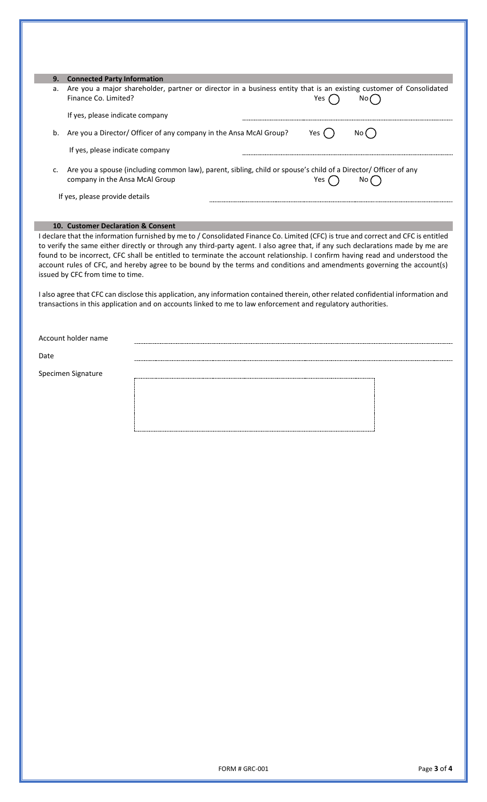| 9. | <b>Connected Party Information</b>                                                                                                                                |
|----|-------------------------------------------------------------------------------------------------------------------------------------------------------------------|
| a. | Are you a major shareholder, partner or director in a business entity that is an existing customer of Consolidated<br>Finance Co. Limited?<br>Yes<br>No <i>l</i>  |
|    | If yes, please indicate company                                                                                                                                   |
| b. | Are you a Director/ Officer of any company in the Ansa McAl Group?<br>Yes l<br>No (                                                                               |
|    | If yes, please indicate company                                                                                                                                   |
| c. | Are you a spouse (including common law), parent, sibling, child or spouse's child of a Director/ Officer of any<br>company in the Ansa McAl Group<br>Yes.<br>No i |
|    | If yes, please provide details                                                                                                                                    |

## **10. Customer Declaration & Consent**

I declare that the information furnished by me to / Consolidated Finance Co. Limited (CFC) is true and correct and CFC is entitled to verify the same either directly or through any third-party agent. I also agree that, if any such declarations made by me are found to be incorrect, CFC shall be entitled to terminate the account relationship. I confirm having read and understood the account rules of CFC, and hereby agree to be bound by the terms and conditions and amendments governing the account(s) issued by CFC from time to time.

I also agree that CFC can disclose this application, any information contained therein, other related confidential information and transactions in this application and on accounts linked to me to law enforcement and regulatory authorities.

Account holder name

Date

p.

Specimen Signature